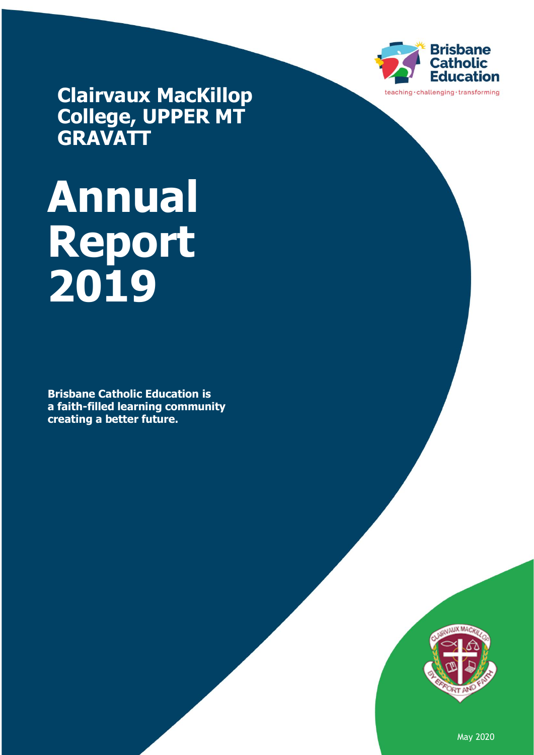

**Clairvaux MacKillop College, UPPER MT GRAVATT**

# **Annual Report 2019**

**Brisbane Catholic Education is a faith-filled learning community creating a better future.** 



May 2020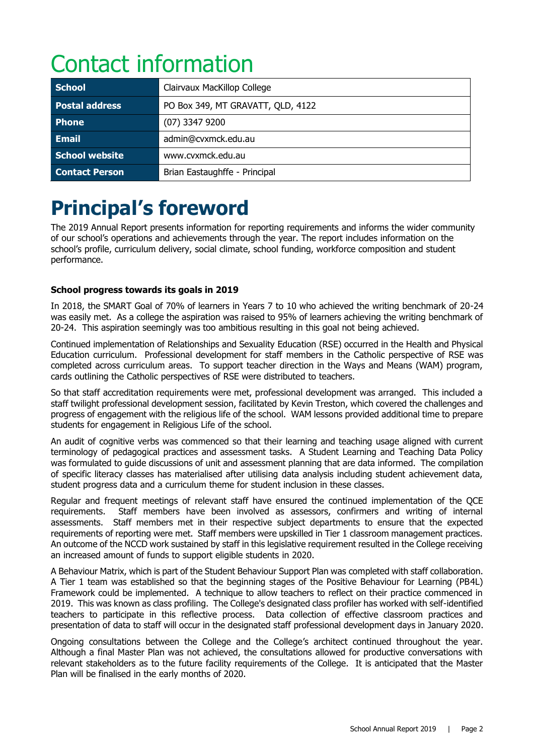# Contact information

| <b>School</b>         | Clairvaux MacKillop College       |
|-----------------------|-----------------------------------|
| <b>Postal address</b> | PO Box 349, MT GRAVATT, QLD, 4122 |
| <b>Phone</b>          | $(07)$ 3347 9200                  |
| <b>Email</b>          | admin@cvxmck.edu.au               |
| School website        | www.cvxmck.edu.au                 |
| <b>Contact Person</b> | Brian Eastaughffe - Principal     |

# **Principal's foreword**

The 2019 Annual Report presents information for reporting requirements and informs the wider community of our school's operations and achievements through the year. The report includes information on the school's profile, curriculum delivery, social climate, school funding, workforce composition and student performance.

# **School progress towards its goals in 2019**

In 2018, the SMART Goal of 70% of learners in Years 7 to 10 who achieved the writing benchmark of 20-24 was easily met. As a college the aspiration was raised to 95% of learners achieving the writing benchmark of 20-24. This aspiration seemingly was too ambitious resulting in this goal not being achieved.

Continued implementation of Relationships and Sexuality Education (RSE) occurred in the Health and Physical Education curriculum. Professional development for staff members in the Catholic perspective of RSE was completed across curriculum areas. To support teacher direction in the Ways and Means (WAM) program, cards outlining the Catholic perspectives of RSE were distributed to teachers.

So that staff accreditation requirements were met, professional development was arranged. This included a staff twilight professional development session, facilitated by Kevin Treston, which covered the challenges and progress of engagement with the religious life of the school. WAM lessons provided additional time to prepare students for engagement in Religious Life of the school.

An audit of cognitive verbs was commenced so that their learning and teaching usage aligned with current terminology of pedagogical practices and assessment tasks. A Student Learning and Teaching Data Policy was formulated to guide discussions of unit and assessment planning that are data informed. The compilation of specific literacy classes has materialised after utilising data analysis including student achievement data, student progress data and a curriculum theme for student inclusion in these classes.

Regular and frequent meetings of relevant staff have ensured the continued implementation of the QCE requirements. Staff members have been involved as assessors, confirmers and writing of internal assessments. Staff members met in their respective subject departments to ensure that the expected requirements of reporting were met. Staff members were upskilled in Tier 1 classroom management practices. An outcome of the NCCD work sustained by staff in this legislative requirement resulted in the College receiving an increased amount of funds to support eligible students in 2020.

A Behaviour Matrix, which is part of the Student Behaviour Support Plan was completed with staff collaboration. A Tier 1 team was established so that the beginning stages of the Positive Behaviour for Learning (PB4L) Framework could be implemented. A technique to allow teachers to reflect on their practice commenced in 2019. This was known as class profiling. The College's designated class profiler has worked with self-identified teachers to participate in this reflective process. Data collection of effective classroom practices and presentation of data to staff will occur in the designated staff professional development days in January 2020.

Ongoing consultations between the College and the College's architect continued throughout the year. Although a final Master Plan was not achieved, the consultations allowed for productive conversations with relevant stakeholders as to the future facility requirements of the College. It is anticipated that the Master Plan will be finalised in the early months of 2020.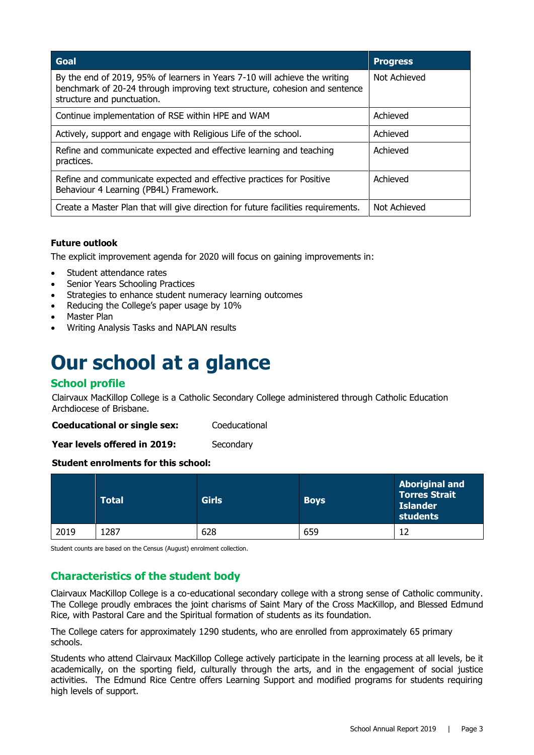| Goal                                                                                                                                                                                   | <b>Progress</b> |
|----------------------------------------------------------------------------------------------------------------------------------------------------------------------------------------|-----------------|
| By the end of 2019, 95% of learners in Years 7-10 will achieve the writing<br>benchmark of 20-24 through improving text structure, cohesion and sentence<br>structure and punctuation. | Not Achieved    |
| Continue implementation of RSE within HPE and WAM                                                                                                                                      | Achieved        |
| Actively, support and engage with Religious Life of the school.                                                                                                                        | Achieved        |
| Refine and communicate expected and effective learning and teaching<br>practices.                                                                                                      | Achieved        |
| Refine and communicate expected and effective practices for Positive<br>Behaviour 4 Learning (PB4L) Framework.                                                                         | Achieved        |
| Create a Master Plan that will give direction for future facilities requirements.                                                                                                      | Not Achieved    |

## **Future outlook**

The explicit improvement agenda for 2020 will focus on gaining improvements in:

- Student attendance rates
- Senior Years Schooling Practices
- Strategies to enhance student numeracy learning outcomes
- Reducing the College's paper usage by 10%
- Master Plan
- Writing Analysis Tasks and NAPLAN results

# **Our school at a glance**

# **School profile**

Clairvaux MacKillop College is a Catholic Secondary College administered through Catholic Education Archdiocese of Brisbane.

**Coeducational or single sex:** Coeducational

Year levels offered in 2019: Secondary

## **Student enrolments for this school:**

|      | <b>Total</b> | <b>Girls</b> | <b>Boys</b> | <b>Aboriginal and</b><br><b>Torres Strait</b><br><b>Islander</b><br>students |
|------|--------------|--------------|-------------|------------------------------------------------------------------------------|
| 2019 | 1287         | 628          | 659         |                                                                              |

Student counts are based on the Census (August) enrolment collection.

# **Characteristics of the student body**

Clairvaux MacKillop College is a co-educational secondary college with a strong sense of Catholic community. The College proudly embraces the joint charisms of Saint Mary of the Cross MacKillop, and Blessed Edmund Rice, with Pastoral Care and the Spiritual formation of students as its foundation.

The College caters for approximately 1290 students, who are enrolled from approximately 65 primary schools.

Students who attend Clairvaux MacKillop College actively participate in the learning process at all levels, be it academically, on the sporting field, culturally through the arts, and in the engagement of social justice activities. The Edmund Rice Centre offers Learning Support and modified programs for students requiring high levels of support.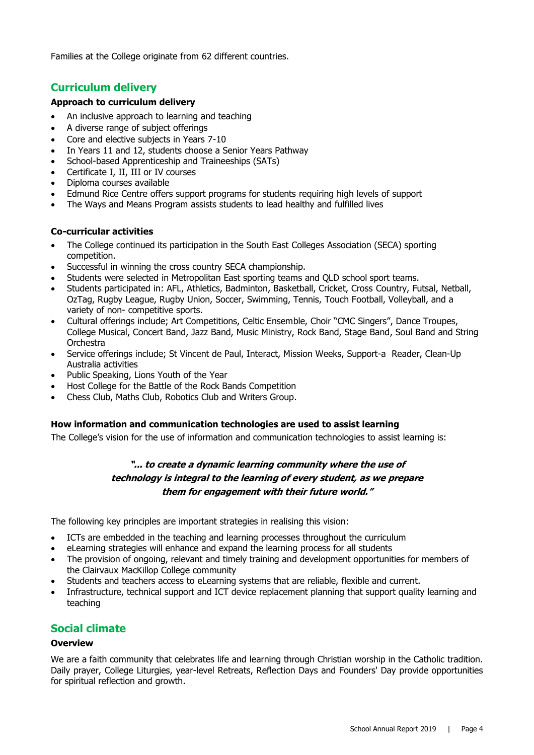Families at the College originate from 62 different countries.

# **Curriculum delivery**

#### **Approach to curriculum delivery**

- An inclusive approach to learning and teaching
- A diverse range of subject offerings
- Core and elective subjects in Years 7-10
- In Years 11 and 12, students choose a Senior Years Pathway
- School-based Apprenticeship and Traineeships (SATs)
- Certificate I, II, III or IV courses
- Diploma courses available
- Edmund Rice Centre offers support programs for students requiring high levels of support
- The Ways and Means Program assists students to lead healthy and fulfilled lives

#### **Co-curricular activities**

- The College continued its participation in the South East Colleges Association (SECA) sporting competition.
- Successful in winning the cross country SECA championship.
- Students were selected in Metropolitan East sporting teams and QLD school sport teams.
- Students participated in: AFL, Athletics, Badminton, Basketball, Cricket, Cross Country, Futsal, Netball, OzTag, Rugby League, Rugby Union, Soccer, Swimming, Tennis, Touch Football, Volleyball, and a variety of non- competitive sports.
- Cultural offerings include; Art Competitions, Celtic Ensemble, Choir "CMC Singers", Dance Troupes, College Musical, Concert Band, Jazz Band, Music Ministry, Rock Band, Stage Band, Soul Band and String Orchestra
- Service offerings include; St Vincent de Paul, Interact, Mission Weeks, Support-a Reader, Clean-Up Australia activities
- Public Speaking, Lions Youth of the Year
- Host College for the Battle of the Rock Bands Competition
- Chess Club, Maths Club, Robotics Club and Writers Group.

#### **How information and communication technologies are used to assist learning**

The College's vision for the use of information and communication technologies to assist learning is:

# **"... to create a dynamic learning community where the use of technology is integral to the learning of every student, as we prepare them for engagement with their future world."**

The following key principles are important strategies in realising this vision:

- ICTs are embedded in the teaching and learning processes throughout the curriculum
- eLearning strategies will enhance and expand the learning process for all students
- The provision of ongoing, relevant and timely training and development opportunities for members of the Clairvaux MacKillop College community
- Students and teachers access to eLearning systems that are reliable, flexible and current.
- Infrastructure, technical support and ICT device replacement planning that support quality learning and teaching

# **Social climate**

#### **Overview**

We are a faith community that celebrates life and learning through Christian worship in the Catholic tradition. Daily prayer, College Liturgies, year-level Retreats, Reflection Days and Founders' Day provide opportunities for spiritual reflection and growth.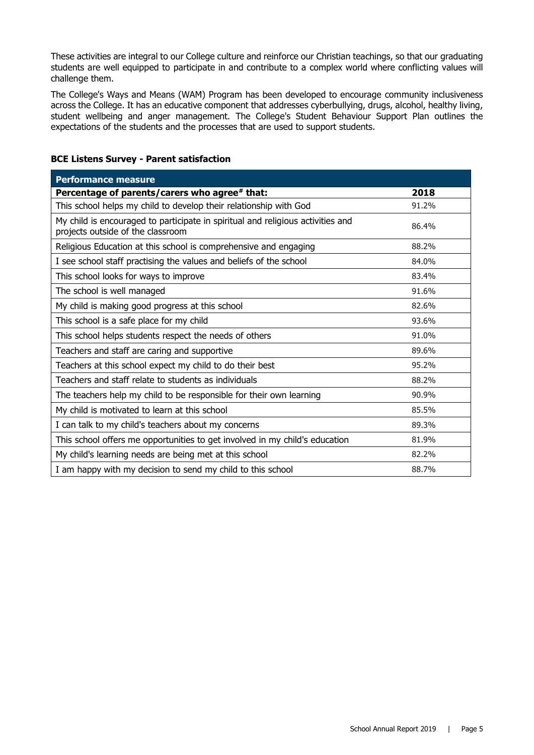These activities are integral to our College culture and reinforce our Christian teachings, so that our graduating students are well equipped to participate in and contribute to a complex world where conflicting values will challenge them.

The College's Ways and Means (WAM) Program has been developed to encourage community inclusiveness across the College. It has an educative component that addresses cyberbullying, drugs, alcohol, healthy living, student wellbeing and anger management. The College's Student Behaviour Support Plan outlines the expectations of the students and the processes that are used to support students.

| <b>Performance measure</b>                                                                                           |       |
|----------------------------------------------------------------------------------------------------------------------|-------|
| Percentage of parents/carers who agree# that:                                                                        | 2018  |
| This school helps my child to develop their relationship with God                                                    | 91.2% |
| My child is encouraged to participate in spiritual and religious activities and<br>projects outside of the classroom | 86.4% |
| Religious Education at this school is comprehensive and engaging                                                     | 88.2% |
| I see school staff practising the values and beliefs of the school                                                   | 84.0% |
| This school looks for ways to improve                                                                                | 83.4% |
| The school is well managed                                                                                           | 91.6% |
| My child is making good progress at this school                                                                      | 82.6% |
| This school is a safe place for my child                                                                             | 93.6% |
| This school helps students respect the needs of others                                                               | 91.0% |
| Teachers and staff are caring and supportive                                                                         | 89.6% |
| Teachers at this school expect my child to do their best                                                             | 95.2% |
| Teachers and staff relate to students as individuals                                                                 | 88.2% |
| The teachers help my child to be responsible for their own learning                                                  | 90.9% |
| My child is motivated to learn at this school                                                                        | 85.5% |
| I can talk to my child's teachers about my concerns                                                                  | 89.3% |
| This school offers me opportunities to get involved in my child's education                                          | 81.9% |
| My child's learning needs are being met at this school                                                               | 82.2% |
| I am happy with my decision to send my child to this school                                                          | 88.7% |

#### **BCE Listens Survey - Parent satisfaction**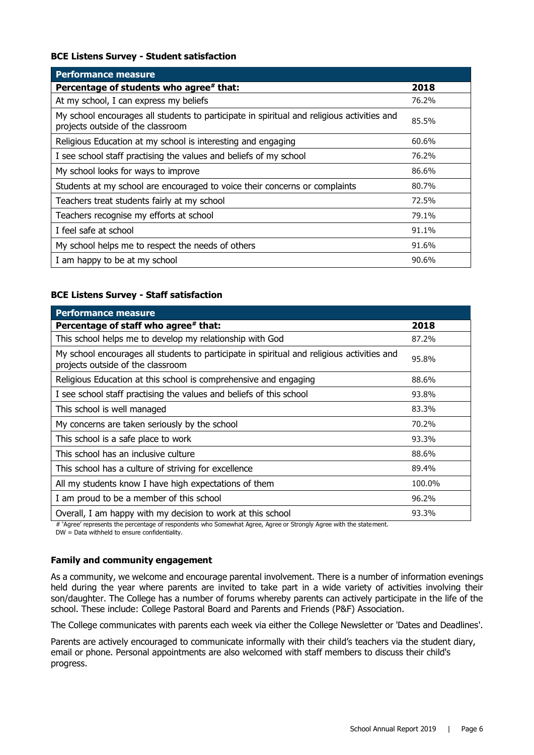#### **BCE Listens Survey - Student satisfaction**

| <b>Performance measure</b>                                                                                                      |       |
|---------------------------------------------------------------------------------------------------------------------------------|-------|
| Percentage of students who agree# that:                                                                                         | 2018  |
| At my school, I can express my beliefs                                                                                          | 76.2% |
| My school encourages all students to participate in spiritual and religious activities and<br>projects outside of the classroom | 85.5% |
| Religious Education at my school is interesting and engaging                                                                    | 60.6% |
| I see school staff practising the values and beliefs of my school                                                               | 76.2% |
| My school looks for ways to improve                                                                                             | 86.6% |
| Students at my school are encouraged to voice their concerns or complaints                                                      | 80.7% |
| Teachers treat students fairly at my school                                                                                     | 72.5% |
| Teachers recognise my efforts at school                                                                                         | 79.1% |
| I feel safe at school                                                                                                           | 91.1% |
| My school helps me to respect the needs of others                                                                               | 91.6% |
| I am happy to be at my school                                                                                                   | 90.6% |

#### **BCE Listens Survey - Staff satisfaction**

| <b>Performance measure</b>                                                                                                      |        |
|---------------------------------------------------------------------------------------------------------------------------------|--------|
| Percentage of staff who agree# that:                                                                                            | 2018   |
| This school helps me to develop my relationship with God                                                                        | 87.2%  |
| My school encourages all students to participate in spiritual and religious activities and<br>projects outside of the classroom | 95.8%  |
| Religious Education at this school is comprehensive and engaging                                                                | 88.6%  |
| I see school staff practising the values and beliefs of this school                                                             | 93.8%  |
| This school is well managed                                                                                                     | 83.3%  |
| My concerns are taken seriously by the school                                                                                   | 70.2%  |
| This school is a safe place to work                                                                                             | 93.3%  |
| This school has an inclusive culture                                                                                            | 88.6%  |
| This school has a culture of striving for excellence                                                                            | 89.4%  |
| All my students know I have high expectations of them                                                                           | 100.0% |
| I am proud to be a member of this school                                                                                        | 96.2%  |
| Overall, I am happy with my decision to work at this school                                                                     | 93.3%  |

# 'Agree' represents the percentage of respondents who Somewhat Agree, Agree or Strongly Agree with the statement.

DW = Data withheld to ensure confidentiality.

#### **Family and community engagement**

As a community, we welcome and encourage parental involvement. There is a number of information evenings held during the year where parents are invited to take part in a wide variety of activities involving their son/daughter. The College has a number of forums whereby parents can actively participate in the life of the school. These include: College Pastoral Board and Parents and Friends (P&F) Association.

The College communicates with parents each week via either the College Newsletter or 'Dates and Deadlines'.

Parents are actively encouraged to communicate informally with their child's teachers via the student diary, email or phone. Personal appointments are also welcomed with staff members to discuss their child's progress.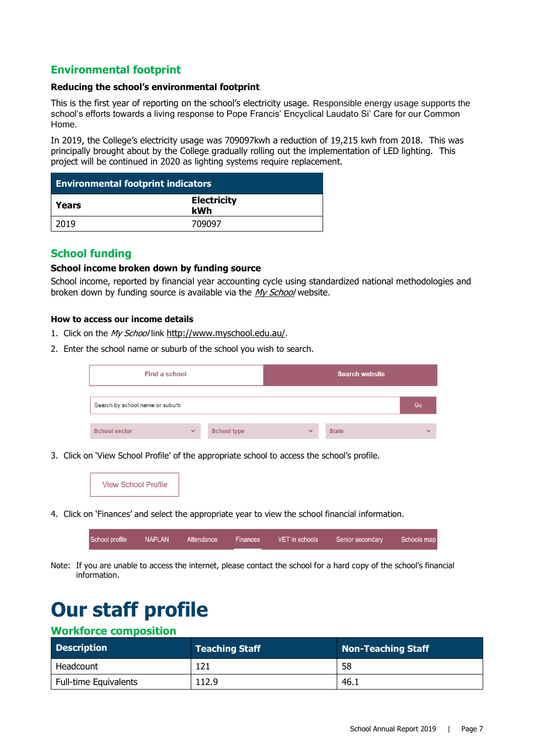# **Environmental footprint**

#### **Reducing the school's environmental footprint**

This is the first year of reporting on the school's electricity usage. Responsible energy usage supports the school's efforts towards a living response to Pope Francis' Encyclical Laudato Si' Care for our Common Home.

In 2019, the College's electricity usage was 709097kwh a reduction of 19,215 kwh from 2018. This was principally brought about by the College gradually rolling out the implementation of LED lighting. This project will be continued in 2020 as lighting systems require replacement.

| <b>Environmental footprint indicators</b> |                           |
|-------------------------------------------|---------------------------|
| Years                                     | <b>Electricity</b><br>kWh |
| 2019                                      | 709097                    |

# **School funding**

#### **School income broken down by funding source**

School income, reported by financial year accounting cycle using standardized national methodologies and broken down by funding source is available via the [My School](http://www.myschool.edu.au/) website.

#### **How to access our income details**

- 1. Click on the My School link <http://www.myschool.edu.au/>.
- 2. Enter the school name or suburb of the school you wish to search.

| Find a school                   |              |                    | <b>Search website</b> |              |              |
|---------------------------------|--------------|--------------------|-----------------------|--------------|--------------|
| Search by school name or suburb |              |                    |                       |              | Go           |
| <b>School sector</b>            | $\checkmark$ | <b>School type</b> | $\checkmark$          | <b>State</b> | $\checkmark$ |

3. Click on 'View School Profile' of the appropriate school to access the school's profile.



4. Click on 'Finances' and select the appropriate year to view the school financial information.

| School profile<br>NAPLAN <sup>1</sup><br>VET in schools<br>Schools map<br>Senior secondary<br>Attendance<br>Finances |  |
|----------------------------------------------------------------------------------------------------------------------|--|
|----------------------------------------------------------------------------------------------------------------------|--|

Note: If you are unable to access the internet, please contact the school for a hard copy of the school's financial information.

# **Our staff profile**

# **Workforce composition**

| <b>Description</b>    | <b>Teaching Staff</b> | Non-Teaching Staff |
|-----------------------|-----------------------|--------------------|
| Headcount             | 121                   | -58                |
| Full-time Equivalents | 112.9                 | ּ 46.              |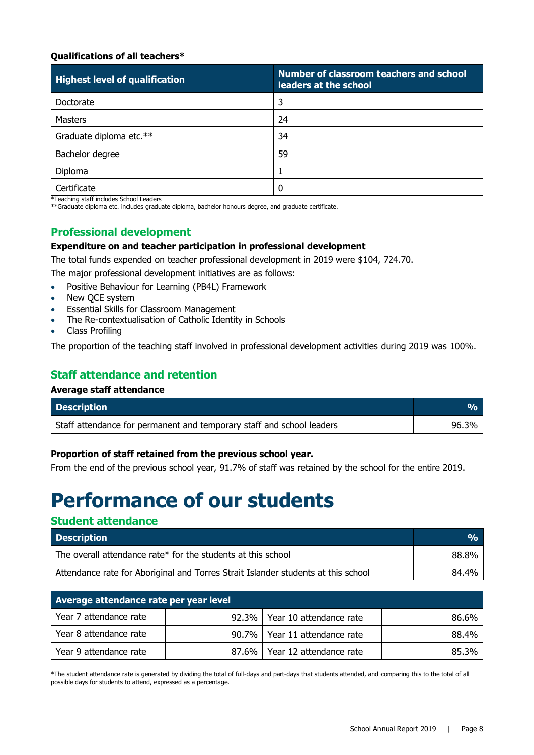#### **Qualifications of all teachers\***

| <b>Highest level of qualification</b> | Number of classroom teachers and school<br>leaders at the school |
|---------------------------------------|------------------------------------------------------------------|
| Doctorate                             | 3                                                                |
| <b>Masters</b>                        | 24                                                               |
| Graduate diploma etc.**               | 34                                                               |
| Bachelor degree                       | 59                                                               |
| Diploma                               |                                                                  |
| Certificate                           |                                                                  |

\*Teaching staff includes School Leaders

\*\*Graduate diploma etc. includes graduate diploma, bachelor honours degree, and graduate certificate.

# **Professional development**

#### **Expenditure on and teacher participation in professional development**

The total funds expended on teacher professional development in 2019 were \$104, 724.70.

The major professional development initiatives are as follows:

- Positive Behaviour for Learning (PB4L) Framework
- New QCE system
- Essential Skills for Classroom Management
- The Re-contextualisation of Catholic Identity in Schools
- Class Profiling

The proportion of the teaching staff involved in professional development activities during 2019 was 100%.

# **Staff attendance and retention**

#### **Average staff attendance**

| <b>Description</b>                                                    | TVA.  |
|-----------------------------------------------------------------------|-------|
| Staff attendance for permanent and temporary staff and school leaders | 96.3% |

#### **Proportion of staff retained from the previous school year.**

From the end of the previous school year, 91.7% of staff was retained by the school for the entire 2019.

# **Performance of our students**

# **Student attendance**

| <b>Description</b>                                                                | $\frac{O}{O}$ |
|-----------------------------------------------------------------------------------|---------------|
| The overall attendance rate* for the students at this school                      | 88.8%         |
| Attendance rate for Aboriginal and Torres Strait Islander students at this school | 84.4%         |

| Average attendance rate per year level |          |                                 |       |
|----------------------------------------|----------|---------------------------------|-------|
| Year 7 attendance rate                 |          | 92.3%   Year 10 attendance rate | 86.6% |
| Year 8 attendance rate                 |          | 90.7%   Year 11 attendance rate | 88.4% |
| Year 9 attendance rate                 | $87.6\%$ | Year 12 attendance rate         | 85.3% |

\*The student attendance rate is generated by dividing the total of full-days and part-days that students attended, and comparing this to the total of all possible days for students to attend, expressed as a percentage.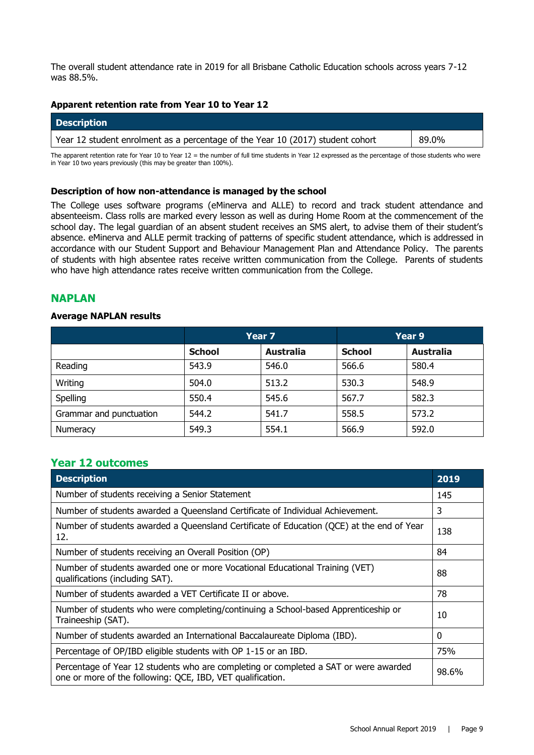The overall student attendance rate in 2019 for all Brisbane Catholic Education schools across years 7-12 was 88.5%.

#### **Apparent retention rate from Year 10 to Year 12**

| <b>Description</b>                                                             |       |
|--------------------------------------------------------------------------------|-------|
| Year 12 student enrolment as a percentage of the Year 10 (2017) student cohort | 89.0% |

The apparent retention rate for Year 10 to Year 12 = the number of full time students in Year 12 expressed as the percentage of those students who were in Year 10 two years previously (this may be greater than 100%).

#### **Description of how non-attendance is managed by the school**

The College uses software programs (eMinerva and ALLE) to record and track student attendance and absenteeism. Class rolls are marked every lesson as well as during Home Room at the commencement of the school day. The legal guardian of an absent student receives an SMS alert, to advise them of their student's absence. eMinerva and ALLE permit tracking of patterns of specific student attendance, which is addressed in accordance with our Student Support and Behaviour Management Plan and Attendance Policy. The parents of students with high absentee rates receive written communication from the College. Parents of students who have high attendance rates receive written communication from the College.

## **NAPLAN**

#### **Average NAPLAN results**

|                         | Year <sub>7</sub> |                  | Year 9        |                  |
|-------------------------|-------------------|------------------|---------------|------------------|
|                         | <b>School</b>     | <b>Australia</b> | <b>School</b> | <b>Australia</b> |
| Reading                 | 543.9             | 546.0            | 566.6         | 580.4            |
| Writing                 | 504.0             | 513.2            | 530.3         | 548.9            |
| Spelling                | 550.4             | 545.6            | 567.7         | 582.3            |
| Grammar and punctuation | 544.2             | 541.7            | 558.5         | 573.2            |
| Numeracy                | 549.3             | 554.1            | 566.9         | 592.0            |

## **Year 12 outcomes**

| <b>Description</b>                                                                                                                                 | 2019  |
|----------------------------------------------------------------------------------------------------------------------------------------------------|-------|
| Number of students receiving a Senior Statement                                                                                                    | 145   |
| Number of students awarded a Queensland Certificate of Individual Achievement.                                                                     | 3     |
| Number of students awarded a Queensland Certificate of Education (QCE) at the end of Year<br>12.                                                   | 138   |
| Number of students receiving an Overall Position (OP)                                                                                              | 84    |
| Number of students awarded one or more Vocational Educational Training (VET)<br>qualifications (including SAT).                                    | 88    |
| Number of students awarded a VET Certificate II or above.                                                                                          | 78    |
| Number of students who were completing/continuing a School-based Apprenticeship or<br>Traineeship (SAT).                                           | 10    |
| Number of students awarded an International Baccalaureate Diploma (IBD).                                                                           | 0     |
| Percentage of OP/IBD eligible students with OP 1-15 or an IBD.                                                                                     | 75%   |
| Percentage of Year 12 students who are completing or completed a SAT or were awarded<br>one or more of the following: QCE, IBD, VET qualification. | 98.6% |